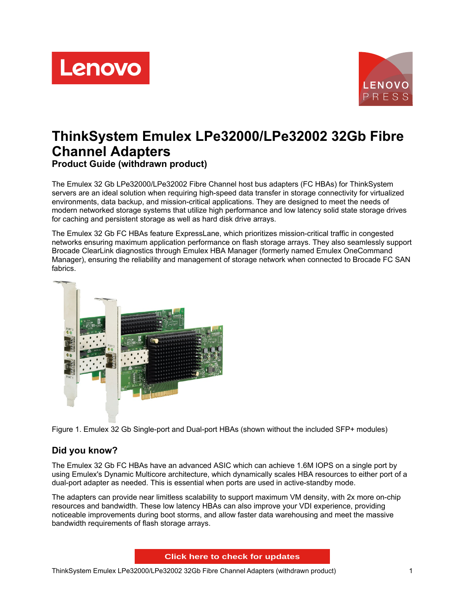



# **ThinkSystem Emulex LPe32000/LPe32002 32Gb Fibre Channel Adapters Product Guide (withdrawn product)**

The Emulex 32 Gb LPe32000/LPe32002 Fibre Channel host bus adapters (FC HBAs) for ThinkSystem servers are an ideal solution when requiring high-speed data transfer in storage connectivity for virtualized environments, data backup, and mission-critical applications. They are designed to meet the needs of modern networked storage systems that utilize high performance and low latency solid state storage drives for caching and persistent storage as well as hard disk drive arrays.

The Emulex 32 Gb FC HBAs feature ExpressLane, which prioritizes mission-critical traffic in congested networks ensuring maximum application performance on flash storage arrays. They also seamlessly support Brocade ClearLink diagnostics through Emulex HBA Manager (formerly named Emulex OneCommand Manager), ensuring the reliability and management of storage network when connected to Brocade FC SAN fabrics.



Figure 1. Emulex 32 Gb Single-port and Dual-port HBAs (shown without the included SFP+ modules)

## **Did you know?**

The Emulex 32 Gb FC HBAs have an advanced ASIC which can achieve 1.6M IOPS on a single port by using Emulex's Dynamic Multicore architecture, which dynamically scales HBA resources to either port of a dual-port adapter as needed. This is essential when ports are used in active-standby mode.

The adapters can provide near limitless scalability to support maximum VM density, with 2x more on-chip resources and bandwidth. These low latency HBAs can also improve your VDI experience, providing noticeable improvements during boot storms, and allow faster data warehousing and meet the massive bandwidth requirements of flash storage arrays.

**Click here to check for updates**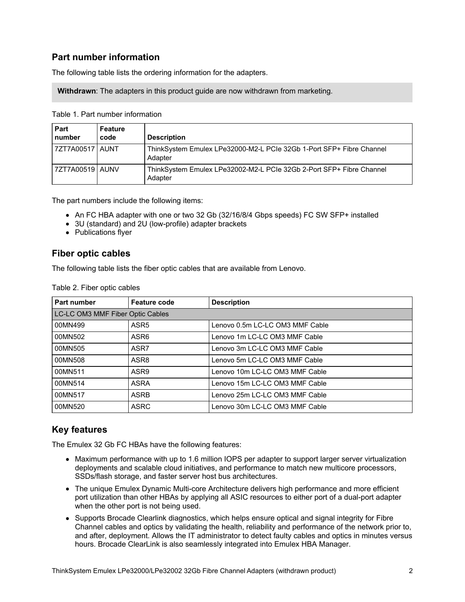### **Part number information**

The following table lists the ordering information for the adapters.

**Withdrawn**: The adapters in this product guide are now withdrawn from marketing.

Table 1. Part number information

| Part<br>number    | Feature<br>code | <b>Description</b>                                                              |
|-------------------|-----------------|---------------------------------------------------------------------------------|
| 7ZT7A00517 AUNT   |                 | ThinkSystem Emulex LPe32000-M2-L PCIe 32Gb 1-Port SFP+ Fibre Channel<br>Adapter |
| 7ZT7A00519   AUNV |                 | ThinkSystem Emulex LPe32002-M2-L PCIe 32Gb 2-Port SFP+ Fibre Channel<br>Adapter |

The part numbers include the following items:

- An FC HBA adapter with one or two 32 Gb (32/16/8/4 Gbps speeds) FC SW SFP+ installed
- 3U (standard) and 2U (low-profile) adapter brackets
- Publications flyer

#### **Fiber optic cables**

The following table lists the fiber optic cables that are available from Lenovo.

| Part number                      | <b>Feature code</b> | <b>Description</b>              |
|----------------------------------|---------------------|---------------------------------|
| LC-LC OM3 MMF Fiber Optic Cables |                     |                                 |
| 00MN499                          | ASR <sub>5</sub>    | Lenovo 0.5m LC-LC OM3 MMF Cable |
| 00MN502                          | ASR <sub>6</sub>    | Lenovo 1m LC-LC OM3 MMF Cable   |
| 00MN505                          | ASR7                | Lenovo 3m LC-LC OM3 MMF Cable   |
| 00MN508                          | ASR8                | Lenovo 5m LC-LC OM3 MMF Cable   |
| 00MN511                          | ASR9                | Lenovo 10m LC-LC OM3 MMF Cable  |
| 00MN514                          | <b>ASRA</b>         | Lenovo 15m LC-LC OM3 MMF Cable  |
| 00MN517                          | <b>ASRB</b>         | Lenovo 25m LC-LC OM3 MMF Cable  |
| 00MN520                          | <b>ASRC</b>         | Lenovo 30m LC-LC OM3 MMF Cable  |

### **Key features**

The Emulex 32 Gb FC HBAs have the following features:

- Maximum performance with up to 1.6 million IOPS per adapter to support larger server virtualization deployments and scalable cloud initiatives, and performance to match new multicore processors, SSDs/flash storage, and faster server host bus architectures.
- The unique Emulex Dynamic Multi-core Architecture delivers high performance and more efficient port utilization than other HBAs by applying all ASIC resources to either port of a dual-port adapter when the other port is not being used.
- Supports Brocade Clearlink diagnostics, which helps ensure optical and signal integrity for Fibre Channel cables and optics by validating the health, reliability and performance of the network prior to, and after, deployment. Allows the IT administrator to detect faulty cables and optics in minutes versus hours. Brocade ClearLink is also seamlessly integrated into Emulex HBA Manager.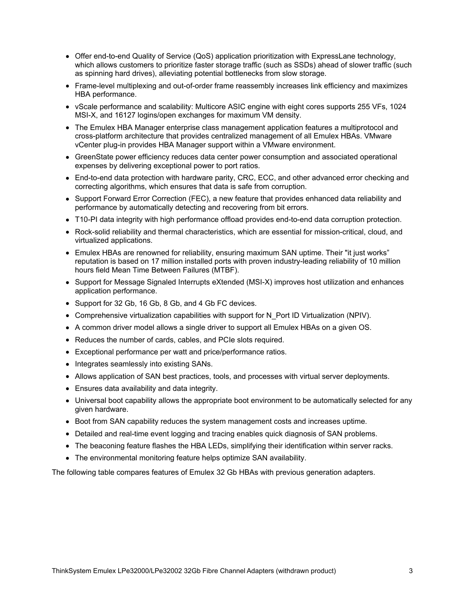- Offer end-to-end Quality of Service (QoS) application prioritization with ExpressLane technology, which allows customers to prioritize faster storage traffic (such as SSDs) ahead of slower traffic (such as spinning hard drives), alleviating potential bottlenecks from slow storage.
- Frame-level multiplexing and out-of-order frame reassembly increases link efficiency and maximizes HBA performance.
- vScale performance and scalability: Multicore ASIC engine with eight cores supports 255 VFs, 1024 MSI-X, and 16127 logins/open exchanges for maximum VM density.
- The Emulex HBA Manager enterprise class management application features a multiprotocol and cross-platform architecture that provides centralized management of all Emulex HBAs. VMware vCenter plug-in provides HBA Manager support within a VMware environment.
- GreenState power efficiency reduces data center power consumption and associated operational expenses by delivering exceptional power to port ratios.
- End-to-end data protection with hardware parity, CRC, ECC, and other advanced error checking and correcting algorithms, which ensures that data is safe from corruption.
- Support Forward Error Correction (FEC), a new feature that provides enhanced data reliability and performance by automatically detecting and recovering from bit errors.
- T10-PI data integrity with high performance offload provides end-to-end data corruption protection.
- Rock-solid reliability and thermal characteristics, which are essential for mission-critical, cloud, and virtualized applications.
- Emulex HBAs are renowned for reliability, ensuring maximum SAN uptime. Their "it just works" reputation is based on 17 million installed ports with proven industry-leading reliability of 10 million hours field Mean Time Between Failures (MTBF).
- Support for Message Signaled Interrupts eXtended (MSI-X) improves host utilization and enhances application performance.
- Support for 32 Gb, 16 Gb, 8 Gb, and 4 Gb FC devices.
- Comprehensive virtualization capabilities with support for N\_Port ID Virtualization (NPIV).
- A common driver model allows a single driver to support all Emulex HBAs on a given OS.
- Reduces the number of cards, cables, and PCIe slots required.
- Exceptional performance per watt and price/performance ratios.
- Integrates seamlessly into existing SANs.
- Allows application of SAN best practices, tools, and processes with virtual server deployments.
- Ensures data availability and data integrity.
- Universal boot capability allows the appropriate boot environment to be automatically selected for any given hardware.
- **Boot from SAN capability reduces the system management costs and increases uptime.**
- Detailed and real-time event logging and tracing enables quick diagnosis of SAN problems.
- The beaconing feature flashes the HBA LEDs, simplifying their identification within server racks.
- The environmental monitoring feature helps optimize SAN availability.

The following table compares features of Emulex 32 Gb HBAs with previous generation adapters.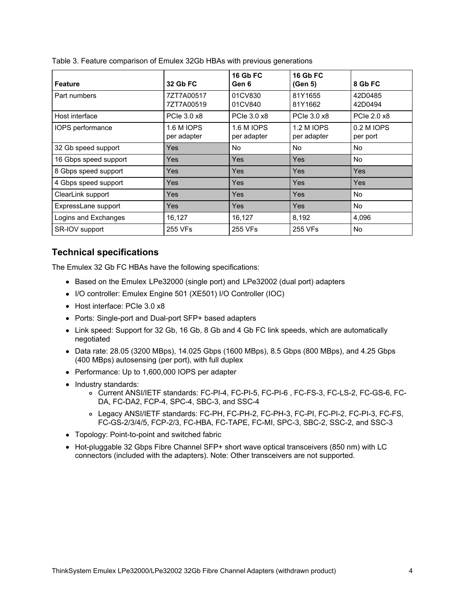| <b>Feature</b>        | <b>32 Gb FC</b>                  | <b>16 Gb FC</b><br>Gen 6  | <b>16 Gb FC</b><br>(Gen 5)       | 8 Gb FC                |
|-----------------------|----------------------------------|---------------------------|----------------------------------|------------------------|
| Part numbers          | 7ZT7A00517<br>7ZT7A00519         | 01CV830<br>01CV840        | 81Y1655<br>81Y1662               | 42D0485<br>42D0494     |
| Host interface        | PCIe 3.0 x8                      | PCIe 3.0 x8               | PCIe 3.0 x8                      | PCIe 2.0 x8            |
| IOPS performance      | <b>1.6 M IOPS</b><br>per adapter | 1.6 M IOPS<br>per adapter | <b>1.2 M IOPS</b><br>per adapter | 0.2 M IOPS<br>per port |
| 32 Gb speed support   | Yes                              | No                        | <b>No</b>                        | No.                    |
| 16 Gbps speed support | Yes                              | Yes                       | Yes                              | No.                    |
| 8 Gbps speed support  | <b>Yes</b>                       | Yes                       | Yes                              | Yes                    |
| 4 Gbps speed support  | <b>Yes</b>                       | Yes                       | Yes                              | Yes                    |
| ClearLink support     | <b>Yes</b>                       | <b>Yes</b>                | <b>Yes</b>                       | No.                    |
| ExpressLane support   | <b>Yes</b>                       | Yes                       | Yes                              | No.                    |
| Logins and Exchanges  | 16,127                           | 16,127                    | 8,192                            | 4,096                  |
| SR-IOV support        | 255 VFs                          | 255 VFs                   | 255 VFs                          | No.                    |

| Table 3. Feature comparison of Emulex 32Gb HBAs with previous generations |  |  |  |
|---------------------------------------------------------------------------|--|--|--|
|                                                                           |  |  |  |

#### **Technical specifications**

The Emulex 32 Gb FC HBAs have the following specifications:

- Based on the Emulex LPe32000 (single port) and LPe32002 (dual port) adapters
- I/O controller: Emulex Engine 501 (XE501) I/O Controller (IOC)
- Host interface: PCIe 3.0 x8
- Ports: Single-port and Dual-port SFP+ based adapters
- Link speed: Support for 32 Gb, 16 Gb, 8 Gb and 4 Gb FC link speeds, which are automatically negotiated
- Data rate: 28.05 (3200 MBps), 14.025 Gbps (1600 MBps), 8.5 Gbps (800 MBps), and 4.25 Gbps (400 MBps) autosensing (per port), with full duplex
- Performance: Up to 1,600,000 IOPS per adapter
- Industry standards:
	- o Current ANSI/IETF standards: FC-PI-4, FC-PI-5, FC-PI-6, FC-FS-3, FC-LS-2, FC-GS-6, FC-DA, FC-DA2, FCP-4, SPC-4, SBC-3, and SSC-4
	- Legacy ANSI/IETF standards: FC-PH, FC-PH-2, FC-PH-3, FC-PI, FC-PI-2, FC-PI-3, FC-FS, FC-GS-2/3/4/5, FCP-2/3, FC-HBA, FC-TAPE, FC-MI, SPC-3, SBC-2, SSC-2, and SSC-3
- Topology: Point-to-point and switched fabric
- Hot-pluggable 32 Gbps Fibre Channel SFP+ short wave optical transceivers (850 nm) with LC connectors (included with the adapters). Note: Other transceivers are not supported.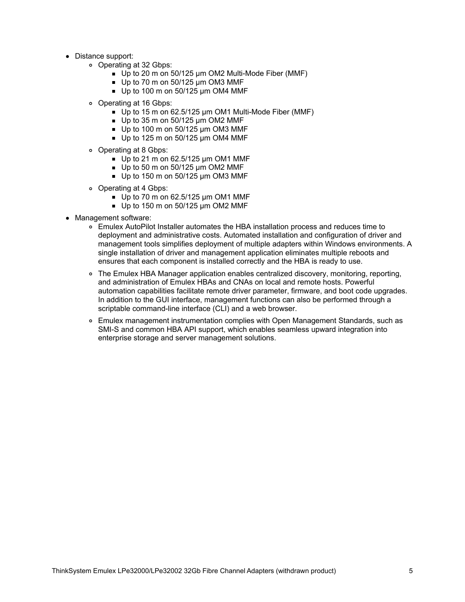- Distance support:
	- Operating at 32 Gbps:
		- Up to 20 m on 50/125 µm OM2 Multi-Mode Fiber (MMF)
		- $\blacksquare$  Up to 70 m on 50/125 um OM3 MMF
		- $\blacksquare$  Up to 100 m on 50/125 µm OM4 MMF
	- Operating at 16 Gbps:
		- Up to 15 m on 62.5/125 µm OM1 Multi-Mode Fiber (MMF)
		- $\blacksquare$  Up to 35 m on 50/125 um OM2 MMF
		- Up to 100 m on 50/125 µm OM3 MMF
		- $\blacksquare$  Up to 125 m on 50/125 µm OM4 MMF
	- Operating at 8 Gbps:
		- $\blacksquare$  Up to 21 m on 62.5/125 µm OM1 MMF
		- Up to 50 m on 50/125 µm OM2 MMF
		- $\blacksquare$  Up to 150 m on 50/125 µm OM3 MMF
	- Operating at 4 Gbps:
		- $\blacksquare$  Up to 70 m on 62.5/125 µm OM1 MMF
		- $\blacksquare$  Up to 150 m on 50/125 µm OM2 MMF
- Management software:
	- Emulex AutoPilot Installer automates the HBA installation process and reduces time to deployment and administrative costs. Automated installation and configuration of driver and management tools simplifies deployment of multiple adapters within Windows environments. A single installation of driver and management application eliminates multiple reboots and ensures that each component is installed correctly and the HBA is ready to use.
	- The Emulex HBA Manager application enables centralized discovery, monitoring, reporting, and administration of Emulex HBAs and CNAs on local and remote hosts. Powerful automation capabilities facilitate remote driver parameter, firmware, and boot code upgrades. In addition to the GUI interface, management functions can also be performed through a scriptable command-line interface (CLI) and a web browser.
	- Emulex management instrumentation complies with Open Management Standards, such as SMI-S and common HBA API support, which enables seamless upward integration into enterprise storage and server management solutions.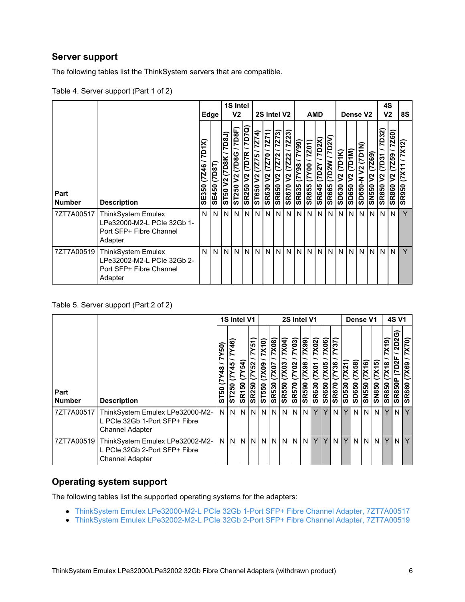### **Server support**

The following tables list the ThinkSystem servers that are compatible.

|                       |                                                                                               |                         | Edge                   |                                              | 1S Intel<br>V <sub>2</sub>               |                                                    |                                              | 2S Intel V2                                                          |                                           |                                                     |                                                              | <b>AMD</b>             |                                      |                                             |                                |                      | Dense V <sub>2</sub>                  |                                | 4S<br>V <sub>2</sub>                                        |                                               | 8S                                              |
|-----------------------|-----------------------------------------------------------------------------------------------|-------------------------|------------------------|----------------------------------------------|------------------------------------------|----------------------------------------------------|----------------------------------------------|----------------------------------------------------------------------|-------------------------------------------|-----------------------------------------------------|--------------------------------------------------------------|------------------------|--------------------------------------|---------------------------------------------|--------------------------------|----------------------|---------------------------------------|--------------------------------|-------------------------------------------------------------|-----------------------------------------------|-------------------------------------------------|
| Part<br><b>Number</b> | <b>Description</b>                                                                            | 7D1X)<br>(7246<br>SE350 | (7D8T)<br><b>SE450</b> | 7D8J)<br>(7D8K)<br>$\mathbf{\Omega}$<br>ST50 | 7D8F)<br>(7D8G)<br>$\mathbf{S}$<br>ST250 | (52.7)<br>(7D7R)<br>V <sub>2</sub><br><b>SR250</b> | (7275 / 7274)<br>$\mathbf{\hat{z}}$<br>ST650 | 7Z71<br>$\frac{02}{2}$<br>$\overline{\triangledown}$<br><b>SR630</b> | (5222)<br>Z72<br>ヒ<br>$2$<br><b>SR650</b> | 7Z23)<br><b>Z22</b><br>$\mathbf{S}$<br><b>SR670</b> | $\overline{99}$<br>Σ<br>$\overline{98}$<br>ζ<br><b>SR635</b> | 7201)<br>SR655 (7Y00 / | <b>(XZQZ</b><br><b>SR645 (7D2Y /</b> | $\overline{7D2V}$<br>(7D2W/<br><b>SR665</b> | (7D1K)<br>$\tilde{z}$<br>SD630 | (7D1M)<br>N<br>SD650 | (2D1N)<br>$\mathbf{S}$<br>z<br>SD650- | Z69)<br>ヒ<br>N<br><b>SN550</b> | <b>7D32</b> )<br>$/$ ksaz)<br>$\frac{2}{3}$<br><b>SR850</b> | 7260)<br>16227<br>$\tilde{z}$<br><b>SR860</b> | <b>7X12)</b><br>$\overline{XY}$<br><b>SR950</b> |
| 7ZT7A00517            | <b>ThinkSystem Emulex</b><br>LPe32000-M2-L PCIe 32Gb 1-<br>Port SFP+ Fibre Channel<br>Adapter | N                       | N.                     | N                                            | N                                        | IN I                                               | N                                            | N                                                                    | ΝI                                        | N                                                   | N                                                            | N                      | N                                    | N                                           | N <sub>1</sub>                 | N                    | N                                     | N                              | IN.                                                         | N                                             | Y                                               |
| 7ZT7A00519            | <b>ThinkSystem Emulex</b><br>LPe32002-M2-L PCIe 32Gb 2-<br>Port SFP+ Fibre Channel<br>Adapter | N                       | N                      | N                                            |                                          | N N                                                | N                                            | N                                                                    | N                                         | N                                                   |                                                              |                        | NNN                                  | N                                           | N <sub>1</sub>                 | N                    | N                                     | N N                            |                                                             | N                                             | Y                                               |

#### Table 5. Server support (Part 2 of 2)

|                       |                                                                                            |                                       | 1S Intel V1                                |                                     |                                 | 2S Intel V1            |                                    |                         |                                               |                                |                                       |                               |                                                       |                             | Dense V1              |                                  |                     | <b>4S V1</b>                                   |                                          |                            |
|-----------------------|--------------------------------------------------------------------------------------------|---------------------------------------|--------------------------------------------|-------------------------------------|---------------------------------|------------------------|------------------------------------|-------------------------|-----------------------------------------------|--------------------------------|---------------------------------------|-------------------------------|-------------------------------------------------------|-----------------------------|-----------------------|----------------------------------|---------------------|------------------------------------------------|------------------------------------------|----------------------------|
| Part<br><b>Number</b> | <b>Description</b>                                                                         | <b>S</b><br>$\frac{8}{4}$<br>င္တ<br>ທ | $\overline{46}$<br>$\frac{45}{5}$<br>ST250 | $\overline{(7Y54)}$<br><b>SR150</b> | 7Y51)<br>(TY52)<br><b>SR250</b> | X(10)<br>E0X/<br>ST550 | $\chi$ 08)<br>7X07<br><b>SR530</b> | X04<br>X03<br>R550<br>ທ | $\overline{Y(3)}$<br>Y02<br>r<br><b>SR570</b> | 7X99)<br>(7X98<br><b>SR590</b> | 7X02)<br>$\overline{Y}$<br>R630<br>ဖာ | 7X06)<br>7X05<br><b>SR650</b> | Ñ<br>$\sim$<br>∼<br>$\overline{Y}$ 36<br><b>SR670</b> | <b>7X21</b><br><b>SD530</b> | 7X58)<br><b>SD650</b> | $\overline{X16}$<br><b>SN550</b> | X15<br><b>SN850</b> | $\sigma$<br>≅<br>$\frac{8}{3}$<br><b>SR850</b> | ັບ<br><b>2D2</b><br>7D2<br><b>SR850P</b> | X70)<br>(7X69<br>R860<br>ທ |
| 7ZT7A00517            | ThinkSystem Emulex LPe32000-M2-<br>L PCIe 32Gb 1-Port SFP+ Fibre<br><b>Channel Adapter</b> | N <sub>1</sub>                        | N                                          | N                                   | I N                             | N <sub>1</sub>         | N                                  | N                       | N                                             | N                              |                                       | Y                             | N I                                                   | Y                           | N                     | N <sub>1</sub>                   | N <sub>1</sub>      | Y                                              | N                                        | Y                          |
| 7ZT7A00519            | ThinkSystem Emulex LPe32002-M2-<br>L PCIe 32Gb 2-Port SFP+ Fibre<br><b>Channel Adapter</b> | N                                     | N                                          | N                                   | I N                             | N <sub>1</sub>         | N                                  | N.                      | N                                             | N                              | Y                                     | Y                             | N I                                                   | Y                           | N                     | N                                | N <sub>1</sub>      | Y.                                             | N                                        | Y                          |

#### **Operating system support**

The following tables list the supported operating systems for the adapters:

- ThinkSystem Emulex [LPe32000-M2-L](#page-6-0) PCIe 32Gb 1-Port SFP+ Fibre Channel Adapter, 7ZT7A00517
- ThinkSystem Emulex [LPe32002-M2-L](#page-8-0) PCIe 32Gb 2-Port SFP+ Fibre Channel Adapter, 7ZT7A00519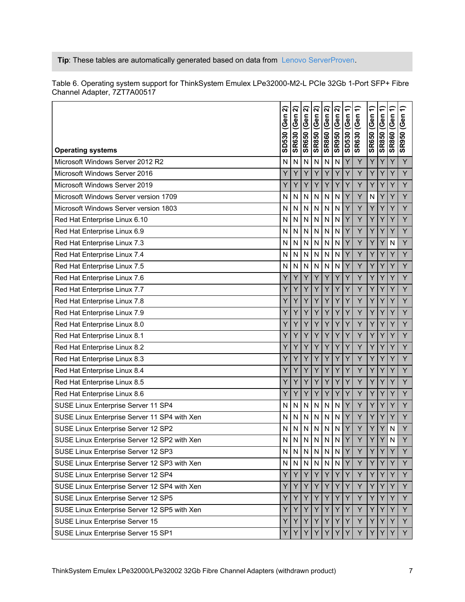#### **Tip**: These tables are automatically generated based on data from Lenovo [ServerProven](https://www.lenovo.com/us/en/serverproven/).

| <b>Operating systems</b>                     | ন<br>SD530 (Gen | ন<br><b>SR630 (Gen</b> | ล<br>SR650 (Gen | ์ล<br>(Gen<br><b>SR850</b> | ন<br><b>SR860 (Gen</b> | ล<br><b>SR950 (Gen</b> | SD530 (Gen 1) | $\hat{=}$<br><b>SR630 (Gen</b> | SR650 (Gen 1) | SR850 (Gen 1) | $\hat{=}$<br><b>SR860 (Gen</b> | €<br><b>SR950 (Gen</b> |
|----------------------------------------------|-----------------|------------------------|-----------------|----------------------------|------------------------|------------------------|---------------|--------------------------------|---------------|---------------|--------------------------------|------------------------|
| Microsoft Windows Server 2012 R2             | N               | N                      | N               | N                          | N                      | N                      | Υ             | Υ                              | Y             | Y             | Y                              | Y                      |
| Microsoft Windows Server 2016                | Y               | Υ                      | Y               | Y                          | Y                      | Y                      | Y             | Y                              | Y             | Y             | Y                              | Y                      |
| Microsoft Windows Server 2019                | Y               | Y                      | Y               | Y                          | Y                      | Υ                      | Υ             | Y                              | Y             | Y             | Y                              | Y                      |
| Microsoft Windows Server version 1709        | N               | N                      | N               | N                          | N                      | N                      | Y             | Y                              | N             | Y             | Y                              | Y                      |
| Microsoft Windows Server version 1803        | N               | N                      | N               | N                          | N                      | N                      | Y             | Y                              | Y             | Y             | Y                              | Y                      |
| Red Hat Enterprise Linux 6.10                | N               | N                      | N               | N                          | N                      | N                      | Υ             | Y                              | Y             | Y             | Y                              | Y                      |
| Red Hat Enterprise Linux 6.9                 | N               | N                      | N               | N                          | N                      | N                      | Ý             | Y                              | Y             | Y             | Y                              | Y                      |
| Red Hat Enterprise Linux 7.3                 | N               | N                      | N               | N                          | N                      | N                      | Υ             | Y                              | Y             | Y             | $\mathsf{N}$                   | Y                      |
| Red Hat Enterprise Linux 7.4                 | N               | N                      | N               | N                          | N                      | N                      | Ý             | Y                              | Y             | Y             | Y                              | Y                      |
| Red Hat Enterprise Linux 7.5                 | N               | N                      | N               | N                          | N                      | N                      | Y             | Y                              | Y             | Y             | Y                              | Y                      |
| Red Hat Enterprise Linux 7.6                 | Y               | Y                      | Y               | Y                          | Ý                      | Ý                      | Ý             | Y                              | Y             | Y             | Y                              | Y                      |
| Red Hat Enterprise Linux 7.7                 | Y               | Y                      | Υ               | Y                          | Y                      | Y                      | Y             | Υ                              | Y             | Υ             | Y                              | Y                      |
| Red Hat Enterprise Linux 7.8                 | Y               | Y                      | Y               | Y                          | Y                      | Y                      | Υ             | Y                              | Y             | Y             | Y                              | Y                      |
| Red Hat Enterprise Linux 7.9                 | Y               | Y                      | Y               | Y                          | Y                      | Υ                      | Υ             | Υ                              | Y             | Y             | Y                              | Y                      |
| Red Hat Enterprise Linux 8.0                 | Y               | Y                      | Y               | Y                          | Ÿ                      | Y                      | Ý             | Y                              | Y             | Y             | Y                              | Y                      |
| Red Hat Enterprise Linux 8.1                 | Y               | Y                      | Y               | Y                          | Y                      | Y                      | Ý             | Y                              | Y             | Y             | Y                              | Y                      |
| Red Hat Enterprise Linux 8.2                 | Y               | Y                      | Υ               | Y                          | Y                      | Υ                      | Υ             | Y                              | Y             | Y             | Y                              | Y                      |
| Red Hat Enterprise Linux 8.3                 | Y               | Y                      | Y               | Y                          | Y                      | Y                      | Y             | Y                              | Y             | Y             | Y                              | Y                      |
| Red Hat Enterprise Linux 8.4                 | Y               | Y                      | Y               | Y                          | Y                      | Y                      | Υ             | Y                              | Y             | Y             | Y                              | Y                      |
| Red Hat Enterprise Linux 8.5                 | Y               | Y                      | Y               | Y                          | Ý                      | Ý                      | Ý             | Y                              | Y             | Y             | Y                              | Y                      |
| Red Hat Enterprise Linux 8.6                 | Y               | Y                      | Y               | Y                          | Y                      | Y                      | Y             | Y                              | Y             | Υ             | Y                              | Y                      |
| SUSE Linux Enterprise Server 11 SP4          | N               | N                      | N               | N                          | N                      | N                      | Y             | Y                              | Y             | Y             | Y                              | Y                      |
| SUSE Linux Enterprise Server 11 SP4 with Xen | N               | N                      | N               | N                          | N                      | N                      | Υ             | Υ                              | Y             | Υ             | Y                              | Y                      |
| SUSE Linux Enterprise Server 12 SP2          | N               | N                      | N               | N                          | N                      | N                      | Y             | Y                              | Y             | Y             | N                              | Y                      |
| SUSE Linux Enterprise Server 12 SP2 with Xen | N               | N                      | $\mathsf{N}$    | N                          | $\mathbf{N}$           | N                      | Y             | $\checkmark$                   | $\vee$        | $\vee$        | $\mathsf{N}$                   | $\vee$                 |
| SUSE Linux Enterprise Server 12 SP3          | N               | N                      | N               | N                          | ${\sf N}$              | ${\sf N}$              | Υ             | Y                              | Y             | Y             | Y                              | Y                      |
| SUSE Linux Enterprise Server 12 SP3 with Xen | N               | N                      | N               | N                          | N                      | ${\sf N}$              | Υ             | Y                              | Y             | Y             | Y                              | Y                      |
| SUSE Linux Enterprise Server 12 SP4          | Υ               | Y                      | Y               | Y                          | Υ                      | Y                      | Υ             | Y                              | Y             | Y             | Y                              | Y                      |
| SUSE Linux Enterprise Server 12 SP4 with Xen | Y               | Y                      | $Y \mid$        | Y                          | Y                      | Y                      | Υ             | Y                              | Υ             | Y             | Y                              | Y                      |
| SUSE Linux Enterprise Server 12 SP5          | Υ               | Y                      | Υl              | Y                          | Υ                      | Y                      | Υ             | Y                              | Y             | Y             | Y                              | Y                      |
| SUSE Linux Enterprise Server 12 SP5 with Xen | Y               | Y                      | Υ               | Y                          | Y                      | Υ                      | Y             | Y                              | Υ             | Y             | Y                              | Y                      |
| SUSE Linux Enterprise Server 15              | Y               | Y                      | Y               | Y                          | Y                      | Y                      | Υ             | Υ                              | Y             | Y             | Y                              | Y                      |
| SUSE Linux Enterprise Server 15 SP1          | Y               |                        | Y               | Y                          | Y                      | Y                      | Υ             | Y                              | Y             | Y             | Y                              | Y                      |

<span id="page-6-0"></span>Table 6. Operating system support for ThinkSystem Emulex LPe32000-M2-L PCIe 32Gb 1-Port SFP+ Fibre Channel Adapter, 7ZT7A00517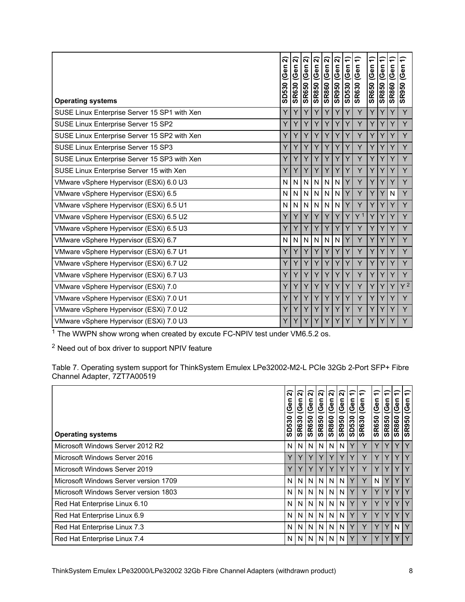|                                              | ส<br>SD530 (Gen | ส<br>SR630 (Gen | ส<br><b>SR650 (Gen</b> | ส<br>(Gen<br><b>SR850</b> | ส<br>(Gen<br><b>SR860</b> | ส<br>$\overline{e}$<br>ত<br><b>SR950</b> | ╤<br>(Gen<br><b>SD530</b> | ╤<br>(Gen<br><b>SR630</b> | ╤<br><b>SR650 (Gen</b> | ╤<br><b>SR850 (Gen</b> | ╤<br><b>SR860 (Gen</b> | ╤<br>(Gen<br><b>SR950</b> |
|----------------------------------------------|-----------------|-----------------|------------------------|---------------------------|---------------------------|------------------------------------------|---------------------------|---------------------------|------------------------|------------------------|------------------------|---------------------------|
| <b>Operating systems</b>                     | Y               | Y               | Y                      | Y                         | Y                         | Y                                        | Ý                         | Y                         | Y                      | Y                      | Y                      | Y                         |
| SUSE Linux Enterprise Server 15 SP1 with Xen |                 |                 |                        |                           |                           |                                          |                           |                           |                        |                        |                        |                           |
| SUSE Linux Enterprise Server 15 SP2          | Y               | Y               | Y                      | Υ                         | Y                         | Y                                        | Υ                         | Y                         | Y                      | Y                      | Y                      | Y                         |
| SUSE Linux Enterprise Server 15 SP2 with Xen | Y               | Y               | Y                      | Y                         | Y                         | Y                                        | Ý                         | Y                         | Ÿ                      | Y                      | Y                      | Y                         |
| SUSE Linux Enterprise Server 15 SP3          | Y               | Y               | Y                      | Y                         | Y                         | Y                                        | Y                         | Y                         | Y                      | Y                      | Y                      | Y                         |
| SUSE Linux Enterprise Server 15 SP3 with Xen | Y               | Y               | Y                      | Y                         | Y                         | Y                                        | Y                         | Y                         | Y                      | Y                      | Y                      | Ÿ                         |
| SUSE Linux Enterprise Server 15 with Xen     | Y               | Y               | Y                      | Y                         | Y                         | Y                                        | Y                         | Y                         | Y                      | Y                      | Y                      | Y                         |
| VMware vSphere Hypervisor (ESXi) 6.0 U3      | N               | N               | N                      | N                         | N.                        | $\mathsf{N}$                             | Y                         | Y                         | Y                      | Y                      | Y                      | Ÿ                         |
| VMware vSphere Hypervisor (ESXi) 6.5         | N               | N               | N                      | $\mathsf{N}$              | N.                        | $\mathsf{N}$                             | Y                         | Υ                         | Y                      | Y                      | $\mathsf{N}$           | Y                         |
| VMware vSphere Hypervisor (ESXi) 6.5 U1      | N               | N               | N                      | $\mathsf{N}$              | N                         | $\mathsf{N}$                             | Y                         | Y                         | Y                      | Y                      | Y                      | Y                         |
| VMware vSphere Hypervisor (ESXi) 6.5 U2      | Y               | Y               | Y                      | Y                         | Y                         | Y                                        | Y                         | Y <sup>1</sup>            | Y                      | Y                      | Y                      | Y                         |
| VMware vSphere Hypervisor (ESXi) 6.5 U3      | Y               | Y               | Y                      | Y                         | Y                         | Y                                        | Y                         | Y                         | Y                      | Y                      | Y                      | Y                         |
| VMware vSphere Hypervisor (ESXi) 6.7         | N               | N               | N                      | $\mathsf{N}$              | N.                        | N                                        | Y                         | Y                         | Y                      | Y                      | Y                      | Y                         |
| VMware vSphere Hypervisor (ESXi) 6.7 U1      | Y               | Y               | Y                      | Y                         | Y                         | Y                                        | Y                         | Y                         | Y                      | Y                      | Y                      | Y                         |
| VMware vSphere Hypervisor (ESXi) 6.7 U2      | Y               | Y               | Y                      | Y                         | Y                         | Y                                        | Y                         | Y                         | Y                      | Y                      | Y                      | Ÿ                         |
| VMware vSphere Hypervisor (ESXi) 6.7 U3      | Y               | Y               | Y                      | Y                         | Y                         | Y                                        | Y                         | Y                         | Y                      | Y                      | Y                      | Y                         |
| VMware vSphere Hypervisor (ESXi) 7.0         | Y               | Y               | Y                      | Y.                        | Y                         | Y                                        | Y                         | Y                         | Y                      | Y                      | Y                      | $Y^2$                     |
| VMware vSphere Hypervisor (ESXi) 7.0 U1      | Y               | Y               | Y                      | Y                         | Y                         | Y                                        | Y                         | Y                         | Y                      | Y                      | Y                      | Y                         |
| VMware vSphere Hypervisor (ESXi) 7.0 U2      | Y               | Y               | Y                      | Y                         | Y                         | Y                                        | Y                         | Y                         | Y                      | Y                      | Y                      | Y                         |
| VMware vSphere Hypervisor (ESXi) 7.0 U3      | Y               | Y               | Υ                      | Y                         | Y                         | Y                                        | Y                         | Y                         | Y                      | Y                      | Y                      | Y                         |

 $1$  The WWPN show wrong when created by excute FC-NPIV test under VM6.5.2 os.

 $2$  Need out of box driver to support NPIV feature

Table 7. Operating system support for ThinkSystem Emulex LPe32002-M2-L PCIe 32Gb 2-Port SFP+ Fibre Channel Adapter, 7ZT7A00519

| <b>Operating systems</b>              | ล<br>ნ<br>ს<br>SD530 | $\widetilde{\mathbf{N}}$<br>(Gen<br><b>SR630</b> | $\widehat{\mathbf{N}}$<br>(Gen<br><b>SR650</b> | ์ส<br>Gen<br><b>SR850</b> | ।ন<br>(Gen<br><b>SR860</b> | $\alpha$<br>(Gen<br><b>SR950</b> | $\overline{\phantom{0}}$<br>(Gen<br><b>0250S</b> | $\overline{ }$<br>(Gen<br><b>SR630</b> | $\overline{\phantom{0}}$<br>(Gen<br><b>SR650</b> | $\overline{\phantom{0}}$<br>(Gen<br><b>OS825</b> | $\overline{\phantom{a}}$<br>(Gen<br><b>SR860</b> | $\overline{\phantom{0}}$<br>(Gen<br><b>SR950</b> |
|---------------------------------------|----------------------|--------------------------------------------------|------------------------------------------------|---------------------------|----------------------------|----------------------------------|--------------------------------------------------|----------------------------------------|--------------------------------------------------|--------------------------------------------------|--------------------------------------------------|--------------------------------------------------|
| Microsoft Windows Server 2012 R2      | N                    | N <sub>1</sub>                                   | N                                              | N                         | N                          | N                                |                                                  | Y                                      | Y                                                |                                                  | Y                                                | Y                                                |
| Microsoft Windows Server 2016         | Y                    | Υ                                                |                                                |                           |                            | Y                                |                                                  | Y                                      | Υ                                                | Υ                                                | Y                                                | Y                                                |
| Microsoft Windows Server 2019         | Y                    | Y                                                |                                                |                           |                            |                                  |                                                  | Υ                                      | Y                                                |                                                  | Y                                                | $\checkmark$                                     |
| Microsoft Windows Server version 1709 | N                    | N <sub>1</sub>                                   | N                                              | N                         | N                          | N                                |                                                  | Y                                      | N                                                | Y                                                | Y                                                | Y                                                |
| Microsoft Windows Server version 1803 | N                    | N                                                | N                                              | N                         | N                          | N                                |                                                  | Y                                      | Y                                                | Υ                                                | Y                                                | $\checkmark$                                     |
| Red Hat Enterprise Linux 6.10         | N                    | N <sub>1</sub>                                   | N                                              | N                         | N                          | N                                |                                                  | Y                                      | Y                                                |                                                  | Y                                                | $\checkmark$                                     |
| Red Hat Enterprise Linux 6.9          | N                    | N                                                | N                                              | N                         | N                          | N                                | Y                                                | Υ                                      | Y                                                | Y                                                | Y                                                | $\vee$                                           |
| Red Hat Enterprise Linux 7.3          | N                    | N <sub>1</sub>                                   | N                                              | N                         | N                          | N                                |                                                  | Y                                      | Y                                                | Y                                                | N                                                | Y                                                |
| Red Hat Enterprise Linux 7.4          | N                    | N I                                              | N                                              | N                         | N                          | N                                |                                                  | Y                                      | Υ                                                |                                                  | Υ                                                |                                                  |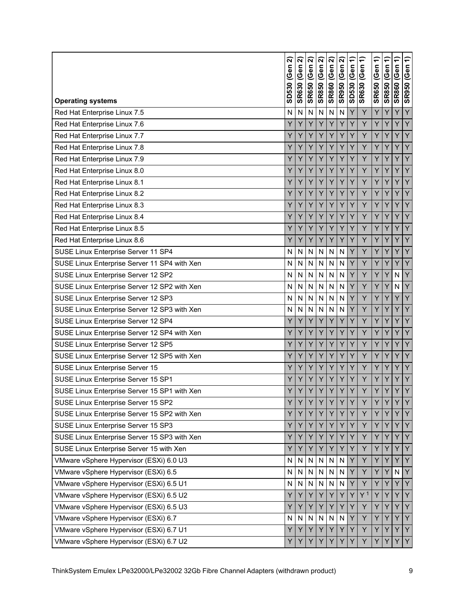<span id="page-8-0"></span>

| <b>Operating systems</b>                     | ส<br>(Gen<br>SD530 | ส<br><b>SR630 (Gen</b>  | ส<br><b>SR650 (Gen</b>  | ส<br><b>SR850 (Gen</b> | ส<br><b>SR860 (Gen</b> | ส<br>(Gen<br><b>SR950</b> | ╤<br>(Gen<br>SD530 | ╤<br><b>SR630 (Gen</b> | ╤<br>(Gen<br><b>SR650</b> | ╤<br><b>SR850 (Gen</b> | ╤<br>(Gen<br><b>SR860</b> | ╤<br><b>SR950 (Gen</b> |
|----------------------------------------------|--------------------|-------------------------|-------------------------|------------------------|------------------------|---------------------------|--------------------|------------------------|---------------------------|------------------------|---------------------------|------------------------|
| Red Hat Enterprise Linux 7.5                 | N                  | N                       | N                       | N                      | N                      | N                         | Y                  | Ÿ                      | Ÿ                         | Ÿ                      | Ý                         | Y                      |
| Red Hat Enterprise Linux 7.6                 | Y                  | Y                       | Y                       | Y                      | Y                      | Y                         | Υ                  | Y                      | Υ                         | Y                      | Y                         | Y                      |
| Red Hat Enterprise Linux 7.7                 | Y                  | Y                       | Y                       | Y                      | Y                      | Y                         | Y                  | Ý                      | Y                         | Y                      | Ý                         | Ý                      |
| Red Hat Enterprise Linux 7.8                 | Y                  | Y                       | Y                       | Y                      | Y                      | Y                         | Υ                  | Y                      | Υ                         | Υ                      | Υ                         | Y                      |
| Red Hat Enterprise Linux 7.9                 | Y                  | Y                       | Y                       | Y                      | Ý                      | Y                         | Ý                  | Ÿ                      | Y                         | Y                      | Ý                         | Y                      |
| Red Hat Enterprise Linux 8.0                 | Y                  | Υ                       | Y                       | Y                      | Υ                      | Y                         | Y                  | Y                      | Υ                         | Υ                      | Y                         | Y                      |
| Red Hat Enterprise Linux 8.1                 | Y                  | Y                       | Y                       | Y                      | Y                      | Y                         | Y                  | Y                      | Y                         | Y                      | Y                         | Y                      |
| Red Hat Enterprise Linux 8.2                 | Y                  | Y                       | Y                       | Y                      | Y                      | Y                         | Y                  | Y                      | Y                         | Y                      | Y                         | Y                      |
| Red Hat Enterprise Linux 8.3                 | Y                  | Y                       | Y                       | Y                      | Y                      | Y                         | Y                  | Y                      | Υ                         | Y                      | Y                         | Y                      |
| Red Hat Enterprise Linux 8.4                 | Y                  | Y                       | Y                       | Y                      | Y                      | Y                         | Y                  | Y                      | Υ                         | Y                      | Y                         | Y                      |
| Red Hat Enterprise Linux 8.5                 | Y                  | Y                       | Y                       | Y                      | Y                      | Y                         | Υ                  | Y                      | Υ                         | Y                      | Y                         | Y                      |
| Red Hat Enterprise Linux 8.6                 | Y                  | Y                       | Y                       | Y                      | Y                      | Y                         | Y                  | Y                      | Ÿ                         | Ý                      | Ý                         | Y                      |
| SUSE Linux Enterprise Server 11 SP4          | N                  | N                       | N                       | N                      | N                      | N                         | Y                  | Y                      | Υ                         | Y                      | Υ                         | Y                      |
| SUSE Linux Enterprise Server 11 SP4 with Xen | N                  | N                       | N                       | N                      | N                      | N                         | Y                  | Ý                      | Y                         | Y                      | Ý                         | Ÿ                      |
| SUSE Linux Enterprise Server 12 SP2          | N                  | N                       | $\overline{\mathsf{N}}$ | N                      | N                      | N                         | Y                  | Y                      | Υ                         | Υ                      | N                         | Y                      |
| SUSE Linux Enterprise Server 12 SP2 with Xen | N                  | N                       | $\overline{\mathsf{N}}$ | N                      | N                      | N                         | Y                  | Ý                      | Ý                         | Y                      | N                         | Y                      |
| SUSE Linux Enterprise Server 12 SP3          | N                  | N                       | N                       | N                      | N                      | N                         | Υ                  | Y                      | Υ                         | Υ                      | Υ                         | Y                      |
| SUSE Linux Enterprise Server 12 SP3 with Xen | N                  | N                       | N                       | N                      | N                      | N                         | Y                  | Y                      | Y                         | Y                      | Y                         | Y                      |
| SUSE Linux Enterprise Server 12 SP4          | Υ                  | Y                       | Y                       | Y                      | Y                      | Y                         | Y                  | Ÿ                      | Y                         | Υ                      | Y                         | Y                      |
| SUSE Linux Enterprise Server 12 SP4 with Xen | Y                  | Y                       | Y                       | Y                      | Y                      | Y                         | Y                  | Y                      | Υ                         | Y                      | Y                         | Y                      |
| SUSE Linux Enterprise Server 12 SP5          | Y                  | Y                       | Y                       | Y                      | Y                      | Y                         | Y                  | Y                      | Y                         | Y                      | Y                         | Y                      |
| SUSE Linux Enterprise Server 12 SP5 with Xen | Y                  | Y                       | Y                       | Y                      | Y                      | Y                         | Y                  | Y                      | Υ                         | Y                      | Y                         | Y                      |
| SUSE Linux Enterprise Server 15              | Y                  | Y                       | Y                       | Y                      | Y                      | Y                         | Y                  | Y                      | Y                         | Ý                      | Ý                         | Y                      |
| SUSE Linux Enterprise Server 15 SP1          | Y                  | Y                       | Y                       | Y                      | Y                      | Y                         | Y                  | Υ                      | Υ                         | Y                      | Y                         | Υ                      |
| SUSE Linux Enterprise Server 15 SP1 with Xen | $\overline{V}$     | $\overline{V}$          | $\overline{V}$          | $\vee$                 | $\vee$                 | $\sqrt{ }$<br>T,          | $\vee$             | Y                      | $\vee$                    | $\overline{V}$         | $\overline{V}$            | $\overline{V}$         |
| SUSE Linux Enterprise Server 15 SP2          | Υ                  | Y                       | Y                       | Y                      | Y                      | Y                         | Y                  | Y                      | Υ                         | Y                      | Υ                         | Y                      |
| SUSE Linux Enterprise Server 15 SP2 with Xen | Y                  | Y                       | Y                       | Y                      | Y                      | Y                         | Y                  | Y                      | Y                         | Y                      | Y                         | Y                      |
| SUSE Linux Enterprise Server 15 SP3          | Υ                  | Υ                       | Y                       | Y                      | Y                      | Y                         | Y                  | Y                      | Υ                         | Y                      | Υ                         | Υ                      |
| SUSE Linux Enterprise Server 15 SP3 with Xen | Υ                  | Υ                       | Y                       | Y                      | Y                      | Y                         | Y                  | Υ                      | Υ                         | Υ                      | Υ                         | Y                      |
| SUSE Linux Enterprise Server 15 with Xen     | Y                  | Υ                       | Y                       | Y                      | Y                      | Y                         | Y                  | Υ                      | Υ                         | Y                      | Υ                         | Y                      |
| VMware vSphere Hypervisor (ESXi) 6.0 U3      | Ν                  | $\mathsf{N}$            | N                       | N                      | N                      | N                         | Y                  | Υ                      | Υ                         | Y                      | Y                         | Y                      |
| VMware vSphere Hypervisor (ESXi) 6.5         | Ν                  | $\mathsf{N}$            | N                       | N                      | N                      | N                         | Y                  | Y                      | Υ                         | Υ                      | $\mathsf{N}$              | Y                      |
| VMware vSphere Hypervisor (ESXi) 6.5 U1      | N                  | ${\sf N}$               | ${\sf N}$               | N                      | N                      | N                         | Y                  | Y                      | Y                         | Υ                      | Y                         | Y                      |
| VMware vSphere Hypervisor (ESXi) 6.5 U2      | Υ                  | Y                       | Y                       | Y                      | Y                      | Y                         | Y                  | Y <sup>1</sup>         | Y                         | Y                      | Y                         | Y                      |
| VMware vSphere Hypervisor (ESXi) 6.5 U3      | Y                  | Υ                       | Y                       | Y                      | Y                      | Y                         | Y                  | Y                      | Υ                         | Y                      | Y                         | Y                      |
| VMware vSphere Hypervisor (ESXi) 6.7         | N                  | $\overline{\mathsf{N}}$ | $\mathsf{N}$            | $\mathsf{N}$           | $\mathsf{N}$           | N                         | Y                  | Y                      | Ÿ                         | Y                      | Y                         | Y                      |
| VMware vSphere Hypervisor (ESXi) 6.7 U1      | Υ                  | Υ                       | Y                       | Y                      | Y                      | Y                         | Y                  | Y                      | Υ                         | Υ                      | Υ                         | Y                      |
| VMware vSphere Hypervisor (ESXi) 6.7 U2      | Y                  | Y                       | Υ                       |                        |                        |                           |                    | Υ                      | Y                         |                        |                           | Y                      |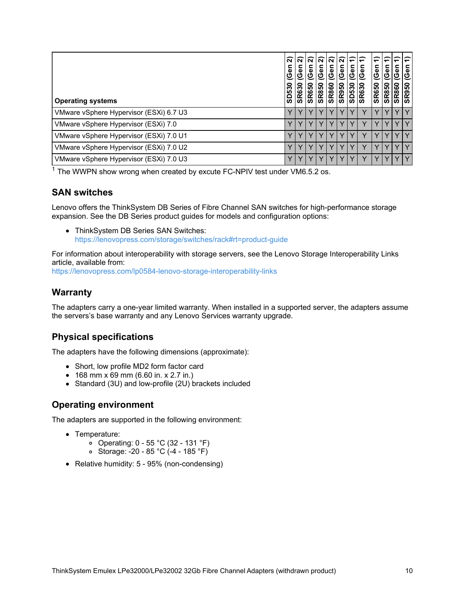| <b>Operating systems</b>                | ส<br>$\overline{\mathbf{a}}$<br>ပ<br>o<br>6<br>in.<br>≏<br>ັທ | ন<br>(Gen<br>630<br><b>GR</b> | ାବାବ<br>⊆<br><u>ଓ</u><br><b>SR650</b> | c<br>(Gel<br><b>SR850</b> | ।ন<br>Ge<br><b>SR860</b> | ାନ<br>ω<br>ပ<br><b>SR950</b> | ਵ<br>ω<br>o<br>က<br>ω۹<br>ခြ | ∈<br>ලී<br><b>SR630</b> | ∈<br>⊆<br>$\overline{\mathbf{v}}$<br>ပ<br><b>SR650</b> | ╤<br>Φ<br>ပ<br>o<br>SR <sub>8</sub> | ω<br>ט<br>0<br><b>R86</b><br>ັທ | မြစ<br>950<br><b>SR</b> |
|-----------------------------------------|---------------------------------------------------------------|-------------------------------|---------------------------------------|---------------------------|--------------------------|------------------------------|------------------------------|-------------------------|--------------------------------------------------------|-------------------------------------|---------------------------------|-------------------------|
| VMware vSphere Hypervisor (ESXi) 6.7 U3 |                                                               |                               |                                       |                           |                          |                              |                              |                         |                                                        |                                     |                                 |                         |
| VMware vSphere Hypervisor (ESXi) 7.0    |                                                               |                               |                                       |                           |                          |                              |                              |                         |                                                        |                                     |                                 |                         |
| VMware vSphere Hypervisor (ESXi) 7.0 U1 |                                                               |                               |                                       |                           |                          |                              |                              |                         |                                                        |                                     |                                 |                         |
| VMware vSphere Hypervisor (ESXi) 7.0 U2 |                                                               | $\checkmark$                  |                                       |                           |                          |                              |                              |                         |                                                        |                                     |                                 | $\checkmark$            |
| VMware vSphere Hypervisor (ESXi) 7.0 U3 |                                                               |                               |                                       |                           |                          |                              |                              |                         |                                                        |                                     |                                 |                         |

 $1$  The WWPN show wrong when created by excute FC-NPIV test under VM6.5.2 os.

#### **SAN switches**

Lenovo offers the ThinkSystem DB Series of Fibre Channel SAN switches for high-performance storage expansion. See the DB Series product guides for models and configuration options:

• ThinkSystem DB Series SAN Switches: <https://lenovopress.com/storage/switches/rack#rt=product-guide>

For information about interoperability with storage servers, see the Lenovo Storage Interoperability Links article, available from:

<https://lenovopress.com/lp0584-lenovo-storage-interoperability-links>

#### **Warranty**

The adapters carry a one-year limited warranty. When installed in a supported server, the adapters assume the servers's base warranty and any Lenovo Services warranty upgrade.

#### **Physical specifications**

The adapters have the following dimensions (approximate):

- Short, low profile MD2 form factor card
- 168 mm x 69 mm (6.60 in. x 2.7 in.)
- Standard (3U) and low-profile (2U) brackets included

#### **Operating environment**

The adapters are supported in the following environment:

- Temperature:
	- $\circ$  Operating: 0 55 °C (32 131 °F)
	- Storage: -20 85 °C (-4 185 °F)
- Relative humidity: 5 95% (non-condensing)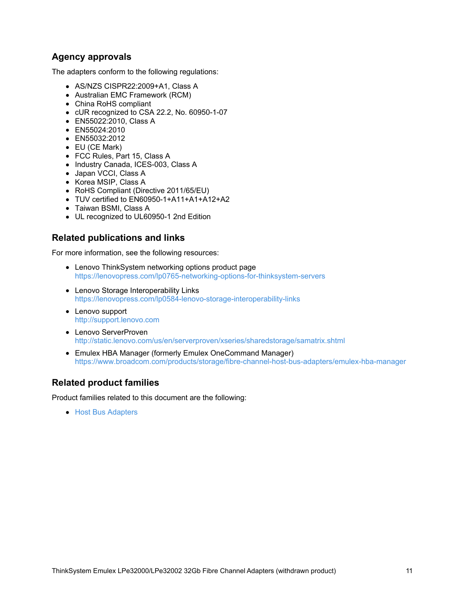### **Agency approvals**

The adapters conform to the following regulations:

- AS/NZS CISPR22:2009+A1, Class A
- Australian EMC Framework (RCM)
- China RoHS compliant
- cUR recognized to CSA 22.2, No. 60950-1-07
- EN55022:2010, Class A
- EN55024:2010
- EN55032:2012
- EU (CE Mark)
- FCC Rules, Part 15, Class A
- Industry Canada, ICES-003, Class A
- Japan VCCI, Class A
- Korea MSIP, Class A
- RoHS Compliant (Directive 2011/65/EU)
- TUV certified to EN60950-1+A11+A1+A12+A2
- Taiwan BSMI, Class A
- UL recognized to UL60950-1 2nd Edition

### **Related publications and links**

For more information, see the following resources:

- Lenovo ThinkSystem networking options product page <https://lenovopress.com/lp0765-networking-options-for-thinksystem-servers>
- Lenovo Storage Interoperability Links <https://lenovopress.com/lp0584-lenovo-storage-interoperability-links>
- Lenovo support <http://support.lenovo.com>
- Lenovo ServerProven <http://static.lenovo.com/us/en/serverproven/xseries/sharedstorage/samatrix.shtml>
- Emulex HBA Manager (formerly Emulex OneCommand Manager) <https://www.broadcom.com/products/storage/fibre-channel-host-bus-adapters/emulex-hba-manager>

### **Related product families**

Product families related to this document are the following:

**• Host Bus [Adapters](https://lenovopress.lenovo.com/servers/options/hba)**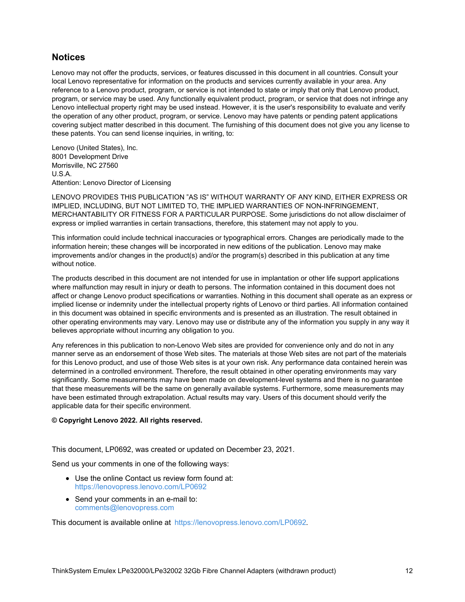#### **Notices**

Lenovo may not offer the products, services, or features discussed in this document in all countries. Consult your local Lenovo representative for information on the products and services currently available in your area. Any reference to a Lenovo product, program, or service is not intended to state or imply that only that Lenovo product, program, or service may be used. Any functionally equivalent product, program, or service that does not infringe any Lenovo intellectual property right may be used instead. However, it is the user's responsibility to evaluate and verify the operation of any other product, program, or service. Lenovo may have patents or pending patent applications covering subject matter described in this document. The furnishing of this document does not give you any license to these patents. You can send license inquiries, in writing, to:

Lenovo (United States), Inc. 8001 Development Drive Morrisville, NC 27560 U.S.A. Attention: Lenovo Director of Licensing

LENOVO PROVIDES THIS PUBLICATION "AS IS" WITHOUT WARRANTY OF ANY KIND, EITHER EXPRESS OR IMPLIED, INCLUDING, BUT NOT LIMITED TO, THE IMPLIED WARRANTIES OF NON-INFRINGEMENT, MERCHANTABILITY OR FITNESS FOR A PARTICULAR PURPOSE. Some jurisdictions do not allow disclaimer of express or implied warranties in certain transactions, therefore, this statement may not apply to you.

This information could include technical inaccuracies or typographical errors. Changes are periodically made to the information herein; these changes will be incorporated in new editions of the publication. Lenovo may make improvements and/or changes in the product(s) and/or the program(s) described in this publication at any time without notice.

The products described in this document are not intended for use in implantation or other life support applications where malfunction may result in injury or death to persons. The information contained in this document does not affect or change Lenovo product specifications or warranties. Nothing in this document shall operate as an express or implied license or indemnity under the intellectual property rights of Lenovo or third parties. All information contained in this document was obtained in specific environments and is presented as an illustration. The result obtained in other operating environments may vary. Lenovo may use or distribute any of the information you supply in any way it believes appropriate without incurring any obligation to you.

Any references in this publication to non-Lenovo Web sites are provided for convenience only and do not in any manner serve as an endorsement of those Web sites. The materials at those Web sites are not part of the materials for this Lenovo product, and use of those Web sites is at your own risk. Any performance data contained herein was determined in a controlled environment. Therefore, the result obtained in other operating environments may vary significantly. Some measurements may have been made on development-level systems and there is no guarantee that these measurements will be the same on generally available systems. Furthermore, some measurements may have been estimated through extrapolation. Actual results may vary. Users of this document should verify the applicable data for their specific environment.

#### **© Copyright Lenovo 2022. All rights reserved.**

This document, LP0692, was created or updated on December 23, 2021.

Send us your comments in one of the following ways:

- Use the online Contact us review form found at: <https://lenovopress.lenovo.com/LP0692>
- Send your comments in an e-mail to: [comments@lenovopress.com](mailto:comments@lenovopress.com?subject=Feedback for LP0692)

This document is available online at <https://lenovopress.lenovo.com/LP0692>.